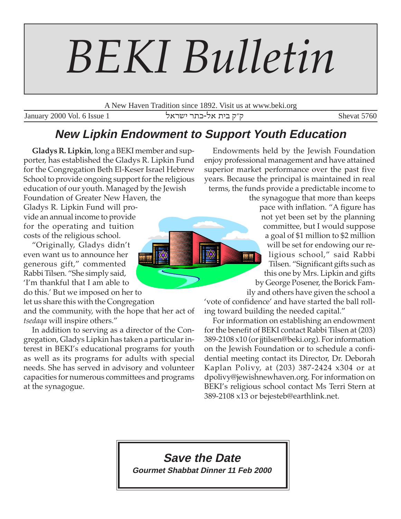# *BEKI Bulletin*

A New Haven Tradition since 1892. Visit us at www.beki.org

 $\overline{\rm January}$ 2000 Vol. 6 Issue 1 ktrah r,f-ktrah r,f-ktrah r,f-ktrah r,f-ktrah r,f-ktrah r,f-ktrah r,f-ktrah r,f-ktrah r,f-ktrah r,f-ktrah r,f-ktrah r,f-ktrah r,f-ktrah r,f-ktrah r,f-ktrah r,f-ktrah r,f-ktrah r,f-ktrah r,f

## **New Lipkin Endowment to Support Youth Education**

**Gladys R. Lipkin**, long a BEKI member and supporter, has established the Gladys R. Lipkin Fund for the Congregation Beth El-Keser Israel Hebrew School to provide ongoing support for the religious education of our youth. Managed by the Jewish

Foundation of Greater New Haven, the Gladys R. Lipkin Fund will provide an annual income to provide for the operating and tuition costs of the religious school.

"Originally, Gladys didn't even want us to announce her generous gift," commented Rabbi Tilsen. "She simply said, 'I'm thankful that I am able to do this.' But we imposed on her to

let us share this with the Congregation

and the community, with the hope that her act of *tsedaqa* will inspire others."

In addition to serving as a director of the Congregation, Gladys Lipkin has taken a particular interest in BEKI's educational programs for youth as well as its programs for adults with special needs. She has served in advisory and volunteer capacities for numerous committees and programs at the synagogue.

Endowments held by the Jewish Foundation enjoy professional management and have attained superior market performance over the past five years. Because the principal is maintained in real terms, the funds provide a predictable income to

> the synagogue that more than keeps pace with inflation. "A figure has not yet been set by the planning committee, but I would suppose a goal of \$1 million to \$2 million will be set for endowing our religious school," said Rabbi Tilsen. "Significant gifts such as this one by Mrs. Lipkin and gifts by George Posener, the Borick Family and others have given the school a

'vote of confidence' and have started the ball rolling toward building the needed capital."

For information on establishing an endowment for the benefit of BEKI contact Rabbi Tilsen at (203) 389-2108 x10 (or jjtilsen@beki.org). For information on the Jewish Foundation or to schedule a confidential meeting contact its Director, Dr. Deborah Kaplan Polivy, at (203) 387-2424 x304 or at dpolivy@jewishnewhaven.org. For information on BEKI's religious school contact Ms Terri Stern at 389-2108 x13 or bejesteb@earthlink.net.

## **Save the Date**

**Gourmet Shabbat Dinner 11 Feb 2000**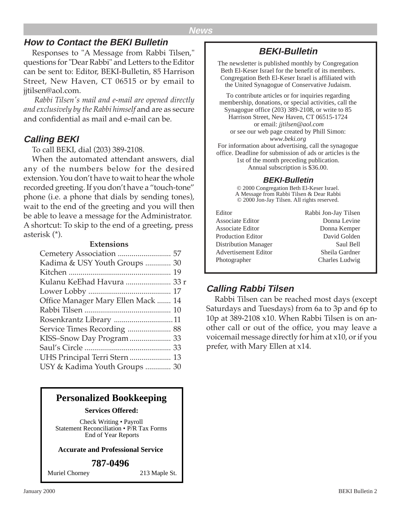## **How to Contact the BEKI Bulletin**

Responses to "A Message from Rabbi Tilsen," questions for "Dear Rabbi" and Letters to the Editor can be sent to: Editor, BEKI-Bulletin, 85 Harrison Street, New Haven, CT 06515 or by email to jjtilsen@aol.com.

 *Rabbi Tilsen's mail and e-mail are opened directly and exclusively by the Rabbi himself* and are as secure and confidential as mail and e-mail can be.

## **Calling BEKI**

To call BEKI, dial (203) 389-2108.

When the automated attendant answers, dial any of the numbers below for the desired extension. You don't have to wait to hear the whole recorded greeting. If you don't have a "touch-tone" phone (i.e. a phone that dials by sending tones), wait to the end of the greeting and you will then be able to leave a message for the Administrator. A shortcut: To skip to the end of a greeting, press asterisk (\*).

#### **Extensions**

| Kadima & USY Youth Groups  30      |  |
|------------------------------------|--|
|                                    |  |
| Kulanu KeEhad Havura  33 r         |  |
|                                    |  |
| Office Manager Mary Ellen Mack  14 |  |
|                                    |  |
|                                    |  |
| Service Times Recording  88        |  |
| KISS-Snow Day Program  33          |  |
|                                    |  |
| UHS Principal Terri Stern  13      |  |
| USY & Kadima Youth Groups  30      |  |
|                                    |  |

## **Personalized Bookkeeping**

#### **Services Offered:**

Check Writing • Payroll Statement Reconciliation • P/R Tax Forms End of Year Reports

#### **Accurate and Professional Service**

#### **787-0496**

Muriel Chorney 213 Maple St.

## **BEKI-Bulletin**

The newsletter is published monthly by Congregation Beth El-Keser Israel for the benefit of its members. Congregation Beth El-Keser Israel is affiliated with the United Synagogue of Conservative Judaism.

To contribute articles or for inquiries regarding membership, donations, or special activities, call the Synagogue office (203) 389-2108, or write to 85 Harrison Street, New Haven, CT 06515-1724 or email: *jjtilsen@aol.com* or see our web page created by Phill Simon: *www.beki.org* For information about advertising, call the synagogue office. Deadline for submission of ads or articles is the 1st of the month preceding publication. Annual subscription is \$36.00.

#### **BEKI-Bulletin**

© 2000 Congregation Beth El-Keser Israel. A Message from Rabbi Tilsen & Dear Rabbi © 2000 Jon-Jay Tilsen. All rights reserved.

| Editor                   | Rabbi Jon-Jay Tilsen |
|--------------------------|----------------------|
| Associate Editor         | Donna Levine         |
| Associate Editor         | Donna Kemper         |
| <b>Production Editor</b> | David Golden         |
| Distribution Manager     | Saul Bell            |
| Advertisement Editor     | Sheila Gardner       |
| Photographer             | Charles Ludwig       |

## **Calling Rabbi Tilsen**

Rabbi Tilsen can be reached most days (except Saturdays and Tuesdays) from 6a to 3p and 6p to 10p at 389-2108 x10. When Rabbi Tilsen is on another call or out of the office, you may leave a voicemail message directly for him at x10, or if you prefer, with Mary Ellen at x14.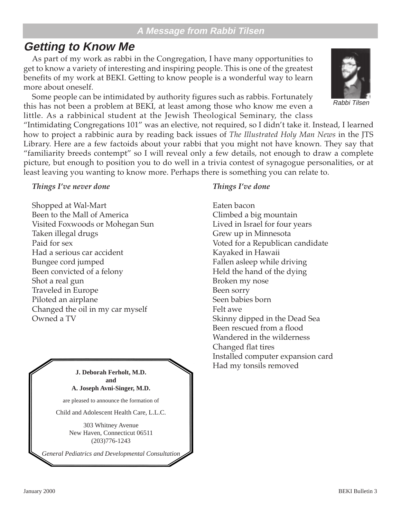## **A Message from Rabbi Tilsen**

## **Getting to Know Me**

As part of my work as rabbi in the Congregation, I have many opportunities to get to know a variety of interesting and inspiring people. This is one of the greatest benefits of my work at BEKI. Getting to know people is a wonderful way to learn more about oneself.

Some people can be intimidated by authority figures such as rabbis. Fortunately this has not been a problem at BEKI, at least among those who know me even a little. As a rabbinical student at the Jewish Theological Seminary, the class

"Intimidating Congregations 101" was an elective, not required, so I didn't take it. Instead, I learned how to project a rabbinic aura by reading back issues of *The Illustrated Holy Man News* in the JTS Library. Here are a few factoids about your rabbi that you might not have known. They say that "familiarity breeds contempt" so I will reveal only a few details, not enough to draw a complete picture, but enough to position you to do well in a trivia contest of synagogue personalities, or at least leaving you wanting to know more. Perhaps there is something you can relate to.

#### *Things I've never done*

Shopped at Wal-Mart Been to the Mall of America Visited Foxwoods or Mohegan Sun Taken illegal drugs Paid for sex Had a serious car accident Bungee cord jumped Been convicted of a felony Shot a real gun Traveled in Europe Piloted an airplane Changed the oil in my car myself Owned a TV



are pleased to announce the formation of

Child and Adolescent Health Care, L.L.C.

303 Whitney Avenue New Haven, Connecticut 06511 (203)776-1243

*General Pediatrics and Developmental Consultation*

#### *Things I've done*

Eaten bacon Climbed a big mountain Lived in Israel for four years Grew up in Minnesota Voted for a Republican candidate Kayaked in Hawaii Fallen asleep while driving Held the hand of the dying Broken my nose Been sorry Seen babies born Felt awe Skinny dipped in the Dead Sea Been rescued from a flood Wandered in the wilderness Changed flat tires Installed computer expansion card Had my tonsils removed

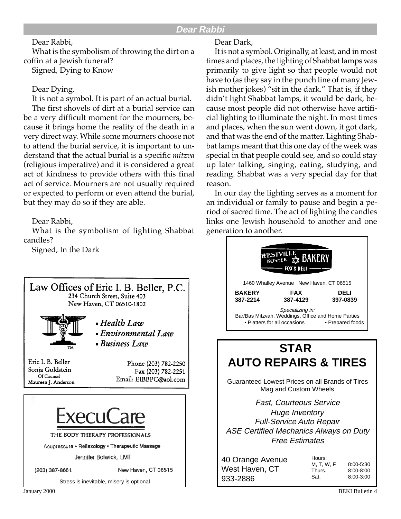#### Dear Rabbi,

What is the symbolism of throwing the dirt on a coffin at a Jewish funeral? Signed, Dying to Know

#### Dear Dying,

It is not a symbol. It is part of an actual burial.

The first shovels of dirt at a burial service can be a very difficult moment for the mourners, because it brings home the reality of the death in a very direct way. While some mourners choose not to attend the burial service, it is important to understand that the actual burial is a specific *mitzva* (religious imperative) and it is considered a great act of kindness to provide others with this final act of service. Mourners are not usually required or expected to perform or even attend the burial, but they may do so if they are able.

Dear Rabbi,

What is the symbolism of lighting Shabbat candles?

Signed, In the Dark



#### Dear Dark,

It is not a symbol. Originally, at least, and in most times and places, the lighting of Shabbat lamps was primarily to give light so that people would not have to (as they say in the punch line of many Jewish mother jokes) "sit in the dark." That is, if they didn't light Shabbat lamps, it would be dark, because most people did not otherwise have artificial lighting to illuminate the night. In most times and places, when the sun went down, it got dark, and that was the end of the matter. Lighting Shabbat lamps meant that this one day of the week was special in that people could see, and so could stay up later talking, singing, eating, studying, and reading. Shabbat was a very special day for that reason.

In our day the lighting serves as a moment for an individual or family to pause and begin a period of sacred time. The act of lighting the candles links one Jewish household to another and one generation to another.

| WESTVILLE BAKERY<br><b>FOX'S DELI</b><br>1460 Whalley Avenue New Haven, CT 06515 |                                                                                                                            |                  |  |  |  |
|----------------------------------------------------------------------------------|----------------------------------------------------------------------------------------------------------------------------|------------------|--|--|--|
| <b>BAKERY</b><br>387-2214                                                        | <b>FAX</b><br>387-4129                                                                                                     | DELI<br>397-0839 |  |  |  |
|                                                                                  | Specializing in:<br>Bar/Bas Mitzvah, Weddings, Office and Home Parties<br>• Platters for all occasions<br>• Prepared foods |                  |  |  |  |
|                                                                                  | <b>STAR</b>                                                                                                                |                  |  |  |  |

# Guaranteed Lowest Prices on all Brands of Tires **AUTO REPAIRS & TIRES**

Mag and Custom Wheels

Fast, Courteous Service Huge Inventory Full-Service Auto Repair ASE Certified Mechanics Always on Duty Free Estimates

| 40 Orange Avenue | Hours:     |               |  |
|------------------|------------|---------------|--|
|                  | M. T. W. F | $8:00 - 5:30$ |  |
| West Haven, CT   | Thurs.     | $8:00 - 8:00$ |  |
| 933-2886         | Sat.       | $8:00 - 3:00$ |  |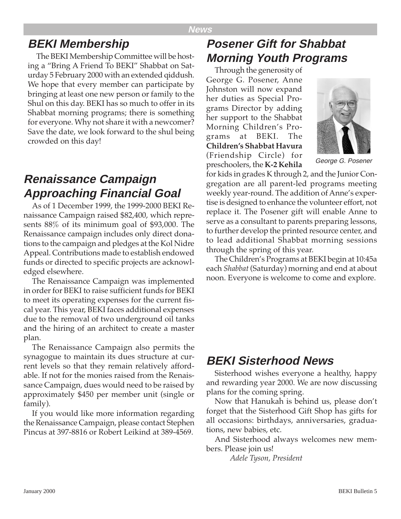## **BEKI Membership**

The BEKI Membership Committee will be hosting a "Bring A Friend To BEKI" Shabbat on Saturday 5 February 2000 with an extended qiddush. We hope that every member can participate by bringing at least one new person or family to the Shul on this day. BEKI has so much to offer in its Shabbat morning programs; there is something for everyone. Why not share it with a newcomer? Save the date, we look forward to the shul being crowded on this day!

## **Renaissance Campaign Approaching Financial Goal**

As of 1 December 1999, the 1999-2000 BEKI Renaissance Campaign raised \$82,400, which represents 88% of its minimum goal of \$93,000. The Renaissance campaign includes only direct donations to the campaign and pledges at the Kol Nidre Appeal. Contributions made to establish endowed funds or directed to specific projects are acknowledged elsewhere.

The Renaissance Campaign was implemented in order for BEKI to raise sufficient funds for BEKI to meet its operating expenses for the current fiscal year. This year, BEKI faces additional expenses due to the removal of two underground oil tanks and the hiring of an architect to create a master plan.

The Renaissance Campaign also permits the synagogue to maintain its dues structure at current levels so that they remain relatively affordable. If not for the monies raised from the Renaissance Campaign, dues would need to be raised by approximately \$450 per member unit (single or family).

If you would like more information regarding the Renaissance Campaign, please contact Stephen Pincus at 397-8816 or Robert Leikind at 389-4569.

# **Posener Gift for Shabbat Morning Youth Programs**

Through the generosity of George G. Posener, Anne Johnston will now expand her duties as Special Programs Director by adding her support to the Shabbat Morning Children's Programs at BEKI. The **Children's Shabbat Havura** (Friendship Circle) for preschoolers, the **K-2 Kehila**



George G. Posener

for kids in grades K through 2, and the Junior Congregation are all parent-led programs meeting weekly year-round. The addition of Anne's expertise is designed to enhance the volunteer effort, not replace it. The Posener gift will enable Anne to serve as a consultant to parents preparing lessons, to further develop the printed resource center, and to lead additional Shabbat morning sessions through the spring of this year.

The Children's Programs at BEKI begin at 10:45a each *Shabbat* (Saturday) morning and end at about noon. Everyone is welcome to come and explore.

## **BEKI Sisterhood News**

Sisterhood wishes everyone a healthy, happy and rewarding year 2000. We are now discussing plans for the coming spring.

Now that Hanukah is behind us, please don't forget that the Sisterhood Gift Shop has gifts for all occasions: birthdays, anniversaries, graduations, new babies, etc.

And Sisterhood always welcomes new members. Please join us!

*Adele Tyson, President*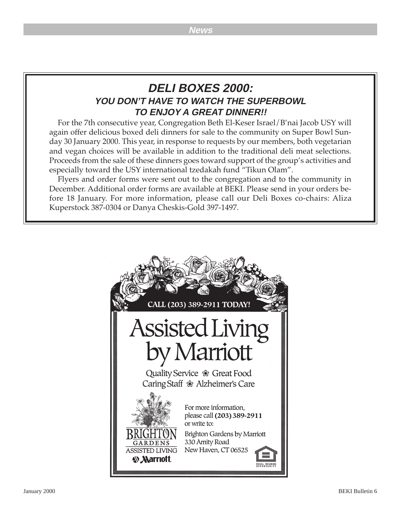## **DELI BOXES 2000: YOU DON'T HAVE TO WATCH THE SUPERBOWL TO ENJOY A GREAT DINNER!!**

For the 7th consecutive year, Congregation Beth El-Keser Israel/B'nai Jacob USY will again offer delicious boxed deli dinners for sale to the community on Super Bowl Sunday 30 January 2000. This year, in response to requests by our members, both vegetarian and vegan choices will be available in addition to the traditional deli meat selections. Proceeds from the sale of these dinners goes toward support of the group's activities and especially toward the USY international tzedakah fund "Tikun Olam".

Flyers and order forms were sent out to the congregation and to the community in December. Additional order forms are available at BEKI. Please send in your orders before 18 January. For more information, please call our Deli Boxes co-chairs: Aliza Kuperstock 387-0304 or Danya Cheskis-Gold 397-1497.

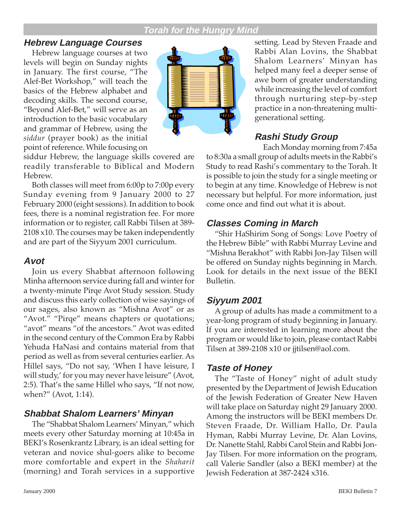## **Torah for the Hungry Mind**

## **Hebrew Language Courses**

Hebrew language courses at two levels will begin on Sunday nights in January. The first course, "The Alef-Bet Workshop," will teach the basics of the Hebrew alphabet and decoding skills. The second course, "Beyond Alef-Bet," will serve as an introduction to the basic vocabulary and grammar of Hebrew, using the *siddur* (prayer book) as the initial point of reference. While focusing on



siddur Hebrew, the language skills covered are readily transferable to Biblical and Modern Hebrew.

Both classes will meet from 6:00p to 7:00p every Sunday evening from 9 January 2000 to 27 February 2000 (eight sessions). In addition to book fees, there is a nominal registration fee. For more information or to register, call Rabbi Tilsen at 389- 2108 x10. The courses may be taken independently and are part of the Siyyum 2001 curriculum.

## **Avot**

Join us every Shabbat afternoon following Minha afternoon service during fall and winter for a twenty-minute Pirqe Avot Study session. Study and discuss this early collection of wise sayings of our sages, also known as "Mishna Avot" or as "Avot." "Pirqe" means chapters or quotations; "avot" means "of the ancestors." Avot was edited in the second century of the Common Era by Rabbi Yehuda HaNasi and contains material from that period as well as from several centuries earlier. As Hillel says, "Do not say, 'When I have leisure, I will study,' for you may never have leisure" (Avot, 2:5). That's the same Hillel who says, "If not now, when?" (Avot, 1:14).

## **Shabbat Shalom Learners' Minyan**

The "Shabbat Shalom Learners' Minyan," which meets every other Saturday morning at 10:45a in BEKI's Rosenkrantz Library, is an ideal setting for veteran and novice shul-goers alike to become more comfortable and expert in the *Shaharit* (morning) and Torah services in a supportive

setting. Lead by Steven Fraade and Rabbi Alan Lovins, the Shabbat Shalom Learners' Minyan has helped many feel a deeper sense of awe born of greater understanding while increasing the level of comfort through nurturing step-by-step practice in a non-threatening multigenerational setting.

## **Rashi Study Group**

Each Monday morning from 7:45a to 8:30a a small group of adults meets in the Rabbi's Study to read Rashi's commentary to the Torah. It is possible to join the study for a single meeting or to begin at any time. Knowledge of Hebrew is not necessary but helpful. For more information, just come once and find out what it is about.

## **Classes Coming in March**

"Shir HaShirim Song of Songs: Love Poetry of the Hebrew Bible" with Rabbi Murray Levine and "Mishna Berakhot" with Rabbi Jon-Jay Tilsen will be offered on Sunday nights beginning in March. Look for details in the next issue of the BEKI Bulletin.

## **Siyyum 2001**

A group of adults has made a commitment to a year-long program of study beginning in January. If you are interested in learning more about the program or would like to join, please contact Rabbi Tilsen at 389-2108 x10 or jjtilsen@aol.com.

## **Taste of Honey**

The "Taste of Honey" night of adult study presented by the Department of Jewish Education of the Jewish Federation of Greater New Haven will take place on Saturday night 29 January 2000. Among the instructors will be BEKI members Dr. Steven Fraade, Dr. William Hallo, Dr. Paula Hyman, Rabbi Murray Levine, Dr. Alan Lovins, Dr. Nanette Stahl, Rabbi Carol Stein and Rabbi Jon-Jay Tilsen. For more information on the program, call Valerie Sandler (also a BEKI member) at the Jewish Federation at 387-2424 x316.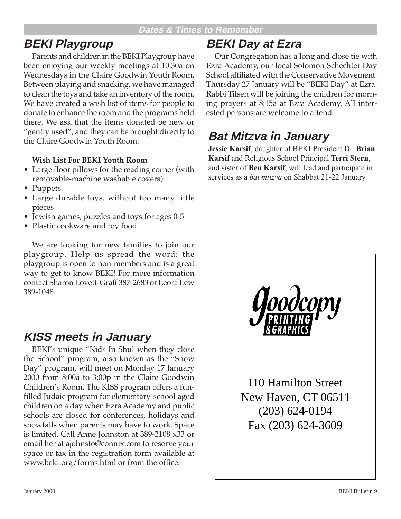# **BEKI Playgroup**

Parents and children in the BEKI Playgroup have been enjoying our weekly meetings at 10:30a on Wednesdays in the Claire Goodwin Youth Room. Between playing and snacking, we have managed to clean the toys and take an inventory of the room. We have created a wish list of items for people to donate to enhance the room and the programs held there. We ask that the items donated be new or "gently used", and they can be brought directly to the Claire Goodwin Youth Room.

#### **Wish List For BEKI Youth Room**

- Large floor pillows for the reading corner (with removable-machine washable covers)
- Puppets
- Large durable toys, without too many little pieces
- Jewish games, puzzles and toys for ages 0-5
- Plastic cookware and toy food

We are looking for new families to join our playgroup. Help us spread the word; the playgroup is open to non-members and is a great way to get to know BEKI! For more information contact Sharon Lovett-Graff 387-2683 or Leora Lew 389-1048.

## **KISS meets in January**

BEKI's unique "Kids In Shul when they close the School" program, also known as the "Snow Day" program, will meet on Monday 17 January 2000 from 8:00a to 3:00p in the Claire Goodwin Children's Room. The KISS program offers a funfilled Judaic program for elementary-school aged children on a day when Ezra Academy and public schools are closed for conferences, holidays and snowfalls when parents may have to work. Space is limited. Call Anne Johnston at 389-2108 x33 or email her at ajohnsto@connix.com to reserve your space or fax in the registration form available at www.beki.org/forms.html or from the office.

# **BEKI Day at Ezra**

Our Congregation has a long and close tie with Ezra Academy, our local Solomon Schechter Day School affiliated with the Conservative Movement. Thursday 27 January will be "BEKI Day" at Ezra. Rabbi Tilsen will be joining the children for morning prayers at 8:15a at Ezra Academy. All interested persons are welcome to attend.

# **Bat Mitzva in January**

**Jessie Karsif**, daughter of BEKI President Dr. **Brian Karsif** and Religious School Principal **Terri Stern**, and sister of **Ben Karsif**, will lead and participate in services as a *bat mitzva* on Shabbat 21-22 January.

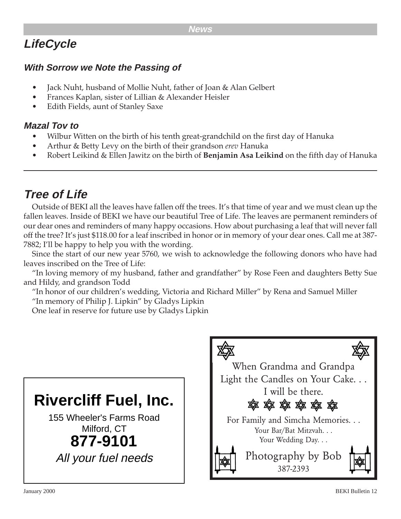# **LifeCycle**

## **With Sorrow we Note the Passing of**

- Jack Nuht, husband of Mollie Nuht, father of Joan & Alan Gelbert
- Frances Kaplan, sister of Lillian & Alexander Heisler
- Edith Fields, aunt of Stanley Saxe

## **Mazal Tov to**

- Wilbur Witten on the birth of his tenth great-grandchild on the first day of Hanuka
- Arthur & Betty Levy on the birth of their grandson *erev* Hanuka
- Robert Leikind & Ellen Jawitz on the birth of **Benjamin Asa Leikind** on the fifth day of Hanuka

# **Tree of Life**

Outside of BEKI all the leaves have fallen off the trees. It's that time of year and we must clean up the fallen leaves. Inside of BEKI we have our beautiful Tree of Life. The leaves are permanent reminders of our dear ones and reminders of many happy occasions. How about purchasing a leaf that will never fall off the tree? It's just \$118.00 for a leaf inscribed in honor or in memory of your dear ones. Call me at 387- 7882; I'll be happy to help you with the wording.

Since the start of our new year 5760, we wish to acknowledge the following donors who have had leaves inscribed on the Tree of Life:

"In loving memory of my husband, father and grandfather" by Rose Feen and daughters Betty Sue and Hildy, and grandson Todd

"In honor of our children's wedding, Victoria and Richard Miller" by Rena and Samuel Miller "In memory of Philip J. Lipkin" by Gladys Lipkin

One leaf in reserve for future use by Gladys Lipkin